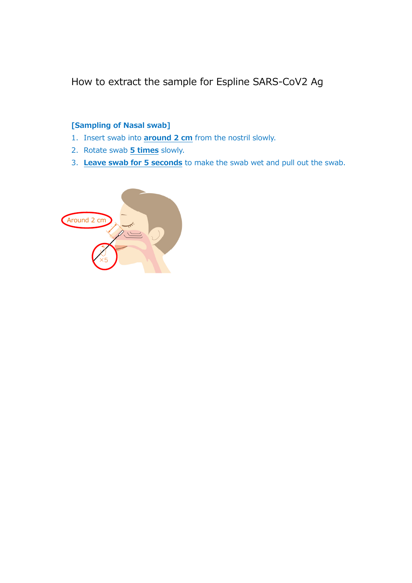How to extract the sample for Espline SARS-CoV2 Ag

### **[Sampling of Nasal swab]**

- 1. Insert swab into **around 2 cm** from the nostril slowly.
- 2. Rotate swab **5 times** slowly.
- 3. **Leave swab for 5 seconds** to make the swab wet and pull out the swab.

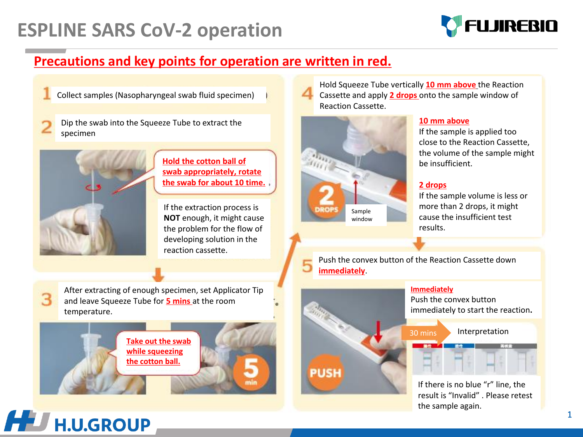## **ESPLINE SARS CoV-2 operation**



### **Precautions and key points for operation are written in red.**

Collect samples (Nasopharyngeal swab fluid specimen)

Dip the swab into the Squeeze Tube to extract the specimen



**Hold the cotton ball of swab appropriately, rotate the swab for about 10 time.** 

If the extraction process is **NOT** enough, it might cause the problem for the flow of developing solution in the reaction cassette.

Hold Squeeze Tube vertically **10 mm above** the Reaction Cassette and apply **2 drops** onto the sample window of Reaction Cassette.



#### **10 mm above**

If the sample is applied too close to the Reaction Cassette, the volume of the sample might be insufficient.

#### **2 drops**

If the sample volume is less or more than 2 drops, it might cause the insufficient test results.

Push the convex button of the Reaction Cassette down 5 **immediately**.



#### **Immediately**

Push the convex button immediately to start the reaction**.**

30 mins Interpretation

If there is no blue "r" line, the result is "Invalid" . Please retest the sample again.

After extracting of enough specimen, set Applicator Tip and leave Squeeze Tube for **5 mins** at the room temperature.

**Take out the swab while squeezing the cotton ball.**



З